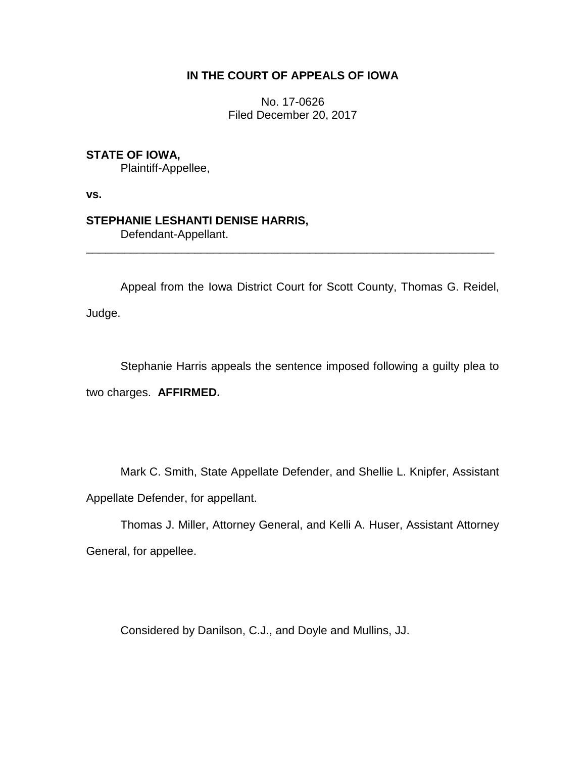# **IN THE COURT OF APPEALS OF IOWA**

No. 17-0626 Filed December 20, 2017

## **STATE OF IOWA,**

Plaintiff-Appellee,

**vs.**

### **STEPHANIE LESHANTI DENISE HARRIS,**

Defendant-Appellant.

Appeal from the Iowa District Court for Scott County, Thomas G. Reidel, Judge.

\_\_\_\_\_\_\_\_\_\_\_\_\_\_\_\_\_\_\_\_\_\_\_\_\_\_\_\_\_\_\_\_\_\_\_\_\_\_\_\_\_\_\_\_\_\_\_\_\_\_\_\_\_\_\_\_\_\_\_\_\_\_\_\_

Stephanie Harris appeals the sentence imposed following a guilty plea to two charges. **AFFIRMED.** 

Mark C. Smith, State Appellate Defender, and Shellie L. Knipfer, Assistant Appellate Defender, for appellant.

Thomas J. Miller, Attorney General, and Kelli A. Huser, Assistant Attorney General, for appellee.

Considered by Danilson, C.J., and Doyle and Mullins, JJ.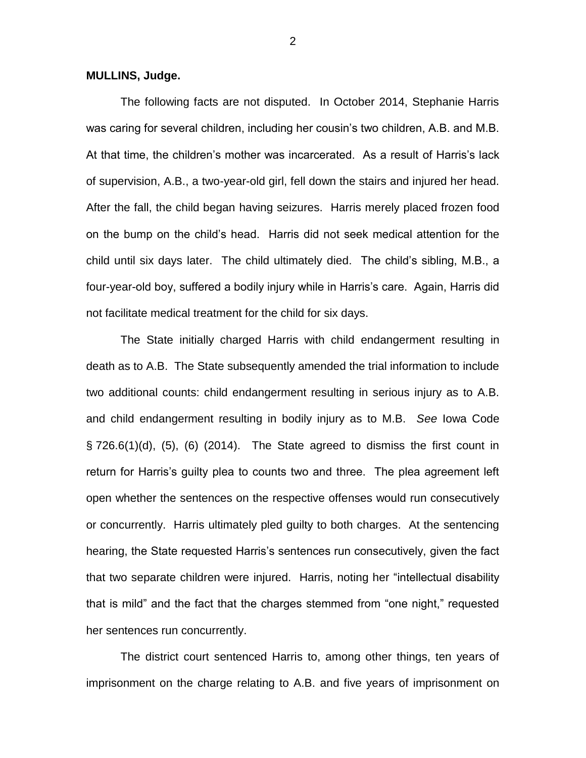#### **MULLINS, Judge.**

The following facts are not disputed. In October 2014, Stephanie Harris was caring for several children, including her cousin's two children, A.B. and M.B. At that time, the children's mother was incarcerated. As a result of Harris's lack of supervision, A.B., a two-year-old girl, fell down the stairs and injured her head. After the fall, the child began having seizures. Harris merely placed frozen food on the bump on the child's head. Harris did not seek medical attention for the child until six days later. The child ultimately died. The child's sibling, M.B., a four-year-old boy, suffered a bodily injury while in Harris's care. Again, Harris did not facilitate medical treatment for the child for six days.

The State initially charged Harris with child endangerment resulting in death as to A.B. The State subsequently amended the trial information to include two additional counts: child endangerment resulting in serious injury as to A.B. and child endangerment resulting in bodily injury as to M.B. *See* Iowa Code  $\S$  726.6(1)(d), (5), (6) (2014). The State agreed to dismiss the first count in return for Harris's guilty plea to counts two and three. The plea agreement left open whether the sentences on the respective offenses would run consecutively or concurrently. Harris ultimately pled guilty to both charges. At the sentencing hearing, the State requested Harris's sentences run consecutively, given the fact that two separate children were injured. Harris, noting her "intellectual disability that is mild" and the fact that the charges stemmed from "one night," requested her sentences run concurrently.

The district court sentenced Harris to, among other things, ten years of imprisonment on the charge relating to A.B. and five years of imprisonment on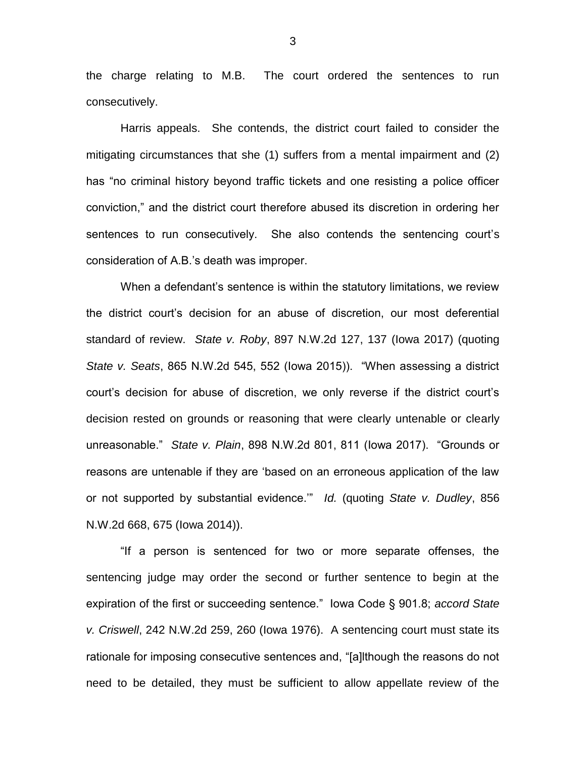the charge relating to M.B. The court ordered the sentences to run consecutively.

Harris appeals. She contends, the district court failed to consider the mitigating circumstances that she (1) suffers from a mental impairment and (2) has "no criminal history beyond traffic tickets and one resisting a police officer conviction," and the district court therefore abused its discretion in ordering her sentences to run consecutively. She also contends the sentencing court's consideration of A.B.'s death was improper.

When a defendant's sentence is within the statutory limitations, we review the district court's decision for an abuse of discretion, our most deferential standard of review. *State v. Roby*, 897 N.W.2d 127, 137 (Iowa 2017) (quoting *State v. Seats*, 865 N.W.2d 545, 552 (Iowa 2015)). "When assessing a district court's decision for abuse of discretion, we only reverse if the district court's decision rested on grounds or reasoning that were clearly untenable or clearly unreasonable." *State v. Plain*, 898 N.W.2d 801, 811 (Iowa 2017). "Grounds or reasons are untenable if they are 'based on an erroneous application of the law or not supported by substantial evidence.'" *Id.* (quoting *State v. Dudley*, 856 N.W.2d 668, 675 (Iowa 2014)).

"If a person is sentenced for two or more separate offenses, the sentencing judge may order the second or further sentence to begin at the expiration of the first or succeeding sentence." Iowa Code § 901.8; *accord State v. Criswell*, 242 N.W.2d 259, 260 (Iowa 1976). A sentencing court must state its rationale for imposing consecutive sentences and, "[a]lthough the reasons do not need to be detailed, they must be sufficient to allow appellate review of the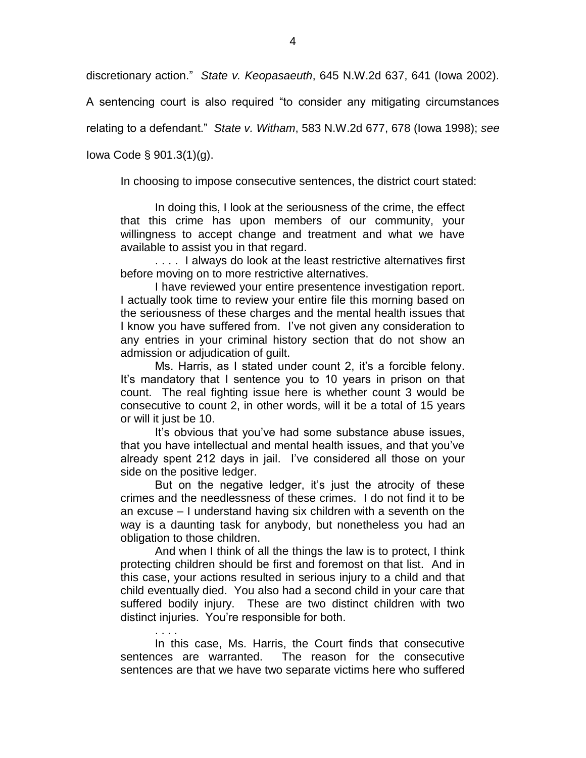discretionary action." *State v. Keopasaeuth*, 645 N.W.2d 637, 641 (Iowa 2002).

A sentencing court is also required "to consider any mitigating circumstances

relating to a defendant." *State v. Witham*, 583 N.W.2d 677, 678 (Iowa 1998); *see*

Iowa Code § 901.3(1)(g).

. . . .

In choosing to impose consecutive sentences, the district court stated:

In doing this, I look at the seriousness of the crime, the effect that this crime has upon members of our community, your willingness to accept change and treatment and what we have available to assist you in that regard.

. . . . I always do look at the least restrictive alternatives first before moving on to more restrictive alternatives.

I have reviewed your entire presentence investigation report. I actually took time to review your entire file this morning based on the seriousness of these charges and the mental health issues that I know you have suffered from. I've not given any consideration to any entries in your criminal history section that do not show an admission or adjudication of guilt.

Ms. Harris, as I stated under count 2, it's a forcible felony. It's mandatory that I sentence you to 10 years in prison on that count. The real fighting issue here is whether count 3 would be consecutive to count 2, in other words, will it be a total of 15 years or will it just be 10.

It's obvious that you've had some substance abuse issues, that you have intellectual and mental health issues, and that you've already spent 212 days in jail. I've considered all those on your side on the positive ledger.

But on the negative ledger, it's just the atrocity of these crimes and the needlessness of these crimes. I do not find it to be an excuse – I understand having six children with a seventh on the way is a daunting task for anybody, but nonetheless you had an obligation to those children.

And when I think of all the things the law is to protect, I think protecting children should be first and foremost on that list. And in this case, your actions resulted in serious injury to a child and that child eventually died. You also had a second child in your care that suffered bodily injury. These are two distinct children with two distinct injuries. You're responsible for both.

In this case, Ms. Harris, the Court finds that consecutive sentences are warranted. The reason for the consecutive sentences are that we have two separate victims here who suffered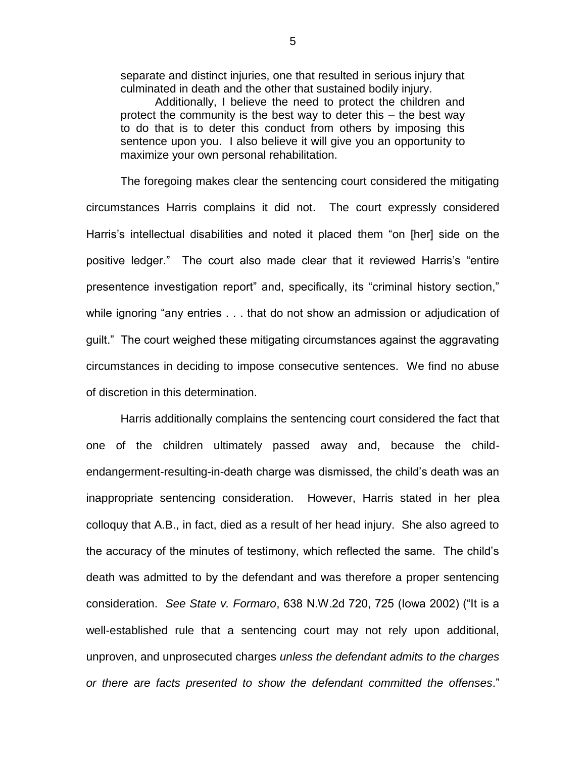separate and distinct injuries, one that resulted in serious injury that culminated in death and the other that sustained bodily injury.

Additionally, I believe the need to protect the children and protect the community is the best way to deter this – the best way to do that is to deter this conduct from others by imposing this sentence upon you. I also believe it will give you an opportunity to maximize your own personal rehabilitation.

The foregoing makes clear the sentencing court considered the mitigating circumstances Harris complains it did not. The court expressly considered Harris's intellectual disabilities and noted it placed them "on [her] side on the positive ledger." The court also made clear that it reviewed Harris's "entire presentence investigation report" and, specifically, its "criminal history section," while ignoring "any entries . . . that do not show an admission or adjudication of guilt." The court weighed these mitigating circumstances against the aggravating circumstances in deciding to impose consecutive sentences. We find no abuse of discretion in this determination.

Harris additionally complains the sentencing court considered the fact that one of the children ultimately passed away and, because the childendangerment-resulting-in-death charge was dismissed, the child's death was an inappropriate sentencing consideration. However, Harris stated in her plea colloquy that A.B., in fact, died as a result of her head injury. She also agreed to the accuracy of the minutes of testimony, which reflected the same. The child's death was admitted to by the defendant and was therefore a proper sentencing consideration. *See State v. Formaro*, 638 N.W.2d 720, 725 (Iowa 2002) ("It is a well-established rule that a sentencing court may not rely upon additional, unproven, and unprosecuted charges *unless the defendant admits to the charges or there are facts presented to show the defendant committed the offenses*."